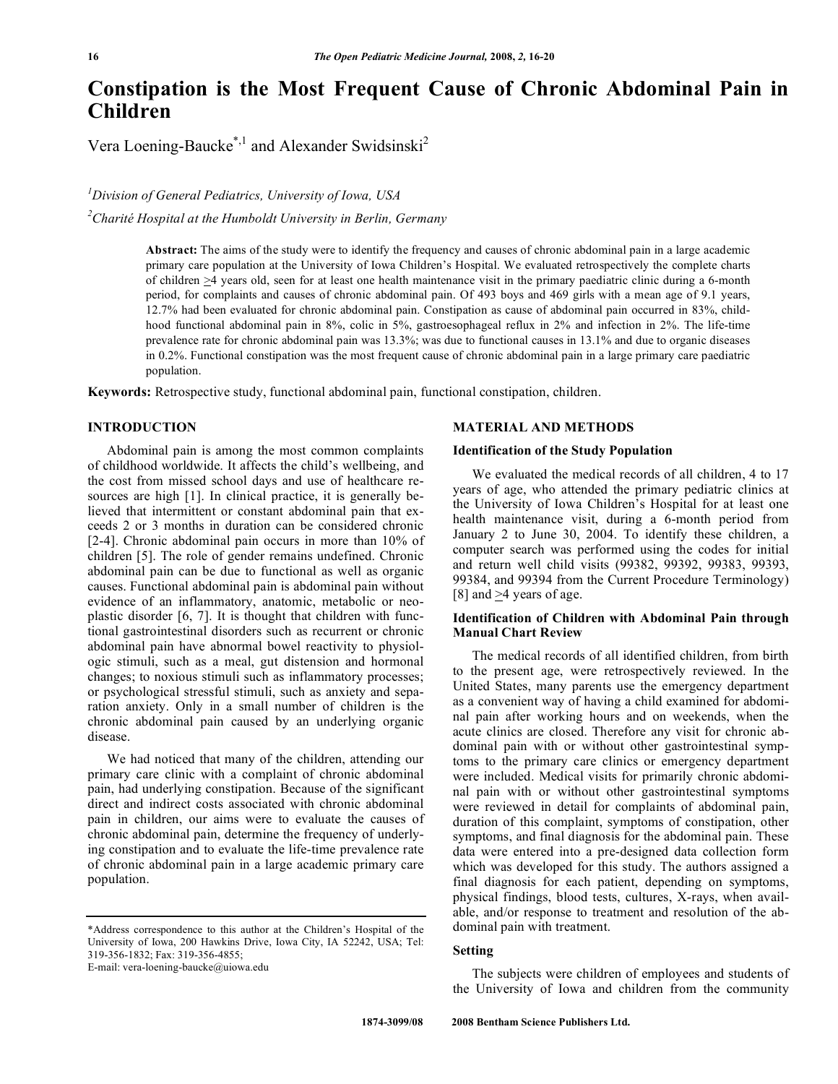# **Constipation is the Most Frequent Cause of Chronic Abdominal Pain in Children**

Vera Loening-Baucke<sup>\*,1</sup> and Alexander Swidsinski<sup>2</sup>

*1 Division of General Pediatrics, University of Iowa, USA 2 Charité Hospital at the Humboldt University in Berlin, Germany* 

> **Abstract:** The aims of the study were to identify the frequency and causes of chronic abdominal pain in a large academic primary care population at the University of Iowa Children's Hospital. We evaluated retrospectively the complete charts of children >4 years old, seen for at least one health maintenance visit in the primary paediatric clinic during a 6-month period, for complaints and causes of chronic abdominal pain. Of 493 boys and 469 girls with a mean age of 9.1 years, 12.7% had been evaluated for chronic abdominal pain. Constipation as cause of abdominal pain occurred in 83%, childhood functional abdominal pain in 8%, colic in 5%, gastroesophageal reflux in 2% and infection in 2%. The life-time prevalence rate for chronic abdominal pain was 13.3%; was due to functional causes in 13.1% and due to organic diseases in 0.2%. Functional constipation was the most frequent cause of chronic abdominal pain in a large primary care paediatric population.

**Keywords:** Retrospective study, functional abdominal pain, functional constipation, children.

# **INTRODUCTION**

 Abdominal pain is among the most common complaints of childhood worldwide. It affects the child's wellbeing, and the cost from missed school days and use of healthcare resources are high [1]. In clinical practice, it is generally believed that intermittent or constant abdominal pain that exceeds 2 or 3 months in duration can be considered chronic [2-4]. Chronic abdominal pain occurs in more than 10% of children [5]. The role of gender remains undefined. Chronic abdominal pain can be due to functional as well as organic causes. Functional abdominal pain is abdominal pain without evidence of an inflammatory, anatomic, metabolic or neoplastic disorder [6, 7]. It is thought that children with functional gastrointestinal disorders such as recurrent or chronic abdominal pain have abnormal bowel reactivity to physiologic stimuli, such as a meal, gut distension and hormonal changes; to noxious stimuli such as inflammatory processes; or psychological stressful stimuli, such as anxiety and separation anxiety. Only in a small number of children is the chronic abdominal pain caused by an underlying organic disease.

 We had noticed that many of the children, attending our primary care clinic with a complaint of chronic abdominal pain, had underlying constipation. Because of the significant direct and indirect costs associated with chronic abdominal pain in children, our aims were to evaluate the causes of chronic abdominal pain, determine the frequency of underlying constipation and to evaluate the life-time prevalence rate of chronic abdominal pain in a large academic primary care population.

## **MATERIAL AND METHODS**

## **Identification of the Study Population**

 We evaluated the medical records of all children, 4 to 17 years of age, who attended the primary pediatric clinics at the University of Iowa Children's Hospital for at least one health maintenance visit, during a 6-month period from January 2 to June 30, 2004. To identify these children, a computer search was performed using the codes for initial and return well child visits (99382, 99392, 99383, 99393, 99384, and 99394 from the Current Procedure Terminology) [8] and  $\geq$ 4 years of age.

# **Identification of Children with Abdominal Pain through Manual Chart Review**

 The medical records of all identified children, from birth to the present age, were retrospectively reviewed. In the United States, many parents use the emergency department as a convenient way of having a child examined for abdominal pain after working hours and on weekends, when the acute clinics are closed. Therefore any visit for chronic abdominal pain with or without other gastrointestinal symptoms to the primary care clinics or emergency department were included. Medical visits for primarily chronic abdominal pain with or without other gastrointestinal symptoms were reviewed in detail for complaints of abdominal pain, duration of this complaint, symptoms of constipation, other symptoms, and final diagnosis for the abdominal pain. These data were entered into a pre-designed data collection form which was developed for this study. The authors assigned a final diagnosis for each patient, depending on symptoms, physical findings, blood tests, cultures, X-rays, when available, and/or response to treatment and resolution of the abdominal pain with treatment.

# **Setting**

 The subjects were children of employees and students of the University of Iowa and children from the community

<sup>\*</sup>Address correspondence to this author at the Children's Hospital of the University of Iowa, 200 Hawkins Drive, Iowa City, IA 52242, USA; Tel: 319-356-1832; Fax: 319-356-4855;

E-mail: vera-loening-baucke@uiowa.edu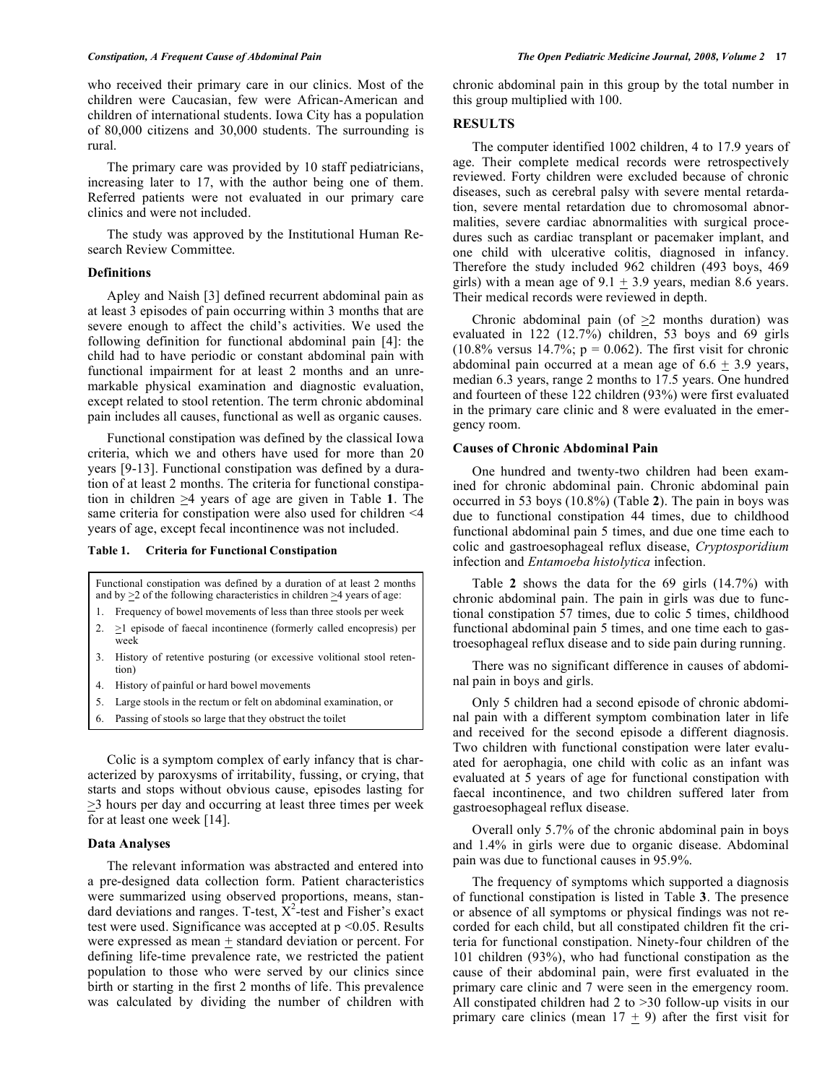who received their primary care in our clinics. Most of the children were Caucasian, few were African-American and children of international students. Iowa City has a population of 80,000 citizens and 30,000 students. The surrounding is rural.

 The primary care was provided by 10 staff pediatricians, increasing later to 17, with the author being one of them. Referred patients were not evaluated in our primary care clinics and were not included.

 The study was approved by the Institutional Human Research Review Committee.

## **Definitions**

 Apley and Naish [3] defined recurrent abdominal pain as at least 3 episodes of pain occurring within 3 months that are severe enough to affect the child's activities. We used the following definition for functional abdominal pain [4]: the child had to have periodic or constant abdominal pain with functional impairment for at least 2 months and an unremarkable physical examination and diagnostic evaluation, except related to stool retention. The term chronic abdominal pain includes all causes, functional as well as organic causes.

 Functional constipation was defined by the classical Iowa criteria, which we and others have used for more than 20 years [9-13]. Functional constipation was defined by a duration of at least 2 months. The criteria for functional constipation in children >4 years of age are given in Table **1**. The same criteria for constipation were also used for children <4 years of age, except fecal incontinence was not included.

|  | Table 1. |  |  |  | <b>Criteria for Functional Constipation</b> |
|--|----------|--|--|--|---------------------------------------------|
|--|----------|--|--|--|---------------------------------------------|

Functional constipation was defined by a duration of at least 2 months and by  $\geq$  2 of the following characteristics in children  $\geq$  4 years of age: 1. Frequency of bowel movements of less than three stools per week 2.  $\geq$ 1 episode of faecal incontinence (formerly called encopresis) per week 3. History of retentive posturing (or excessive volitional stool retention)

- 4. History of painful or hard bowel movements
- 5. Large stools in the rectum or felt on abdominal examination, or
- 6. Passing of stools so large that they obstruct the toilet

 Colic is a symptom complex of early infancy that is characterized by paroxysms of irritability, fussing, or crying, that starts and stops without obvious cause, episodes lasting for  $\geq$ 3 hours per day and occurring at least three times per week for at least one week [14].

#### **Data Analyses**

 The relevant information was abstracted and entered into a pre-designed data collection form. Patient characteristics were summarized using observed proportions, means, standard deviations and ranges. T-test,  $X^2$ -test and Fisher's exact test were used. Significance was accepted at p <0.05. Results were expressed as mean  $\pm$  standard deviation or percent. For defining life-time prevalence rate, we restricted the patient population to those who were served by our clinics since birth or starting in the first 2 months of life. This prevalence was calculated by dividing the number of children with

chronic abdominal pain in this group by the total number in this group multiplied with 100.

# **RESULTS**

 The computer identified 1002 children, 4 to 17.9 years of age. Their complete medical records were retrospectively reviewed. Forty children were excluded because of chronic diseases, such as cerebral palsy with severe mental retardation, severe mental retardation due to chromosomal abnormalities, severe cardiac abnormalities with surgical procedures such as cardiac transplant or pacemaker implant, and one child with ulcerative colitis, diagnosed in infancy. Therefore the study included 962 children (493 boys, 469 girls) with a mean age of  $9.1 \pm 3.9$  years, median 8.6 years. Their medical records were reviewed in depth.

Chronic abdominal pain (of  $\geq$ 2 months duration) was evaluated in 122 (12.7%) children, 53 boys and 69 girls  $(10.8\%$  versus 14.7%;  $p = 0.062$ ). The first visit for chronic abdominal pain occurred at a mean age of  $6.6 + 3.9$  years, median 6.3 years, range 2 months to 17.5 years. One hundred and fourteen of these 122 children (93%) were first evaluated in the primary care clinic and 8 were evaluated in the emergency room.

## **Causes of Chronic Abdominal Pain**

 One hundred and twenty-two children had been examined for chronic abdominal pain. Chronic abdominal pain occurred in 53 boys (10.8%) (Table **2**). The pain in boys was due to functional constipation 44 times, due to childhood functional abdominal pain 5 times, and due one time each to colic and gastroesophageal reflux disease, *Cryptosporidium* infection and *Entamoeba histolytica* infection.

 Table **2** shows the data for the 69 girls (14.7%) with chronic abdominal pain. The pain in girls was due to functional constipation 57 times, due to colic 5 times, childhood functional abdominal pain 5 times, and one time each to gastroesophageal reflux disease and to side pain during running.

 There was no significant difference in causes of abdominal pain in boys and girls.

 Only 5 children had a second episode of chronic abdominal pain with a different symptom combination later in life and received for the second episode a different diagnosis. Two children with functional constipation were later evaluated for aerophagia, one child with colic as an infant was evaluated at 5 years of age for functional constipation with faecal incontinence, and two children suffered later from gastroesophageal reflux disease.

 Overall only 5.7% of the chronic abdominal pain in boys and 1.4% in girls were due to organic disease. Abdominal pain was due to functional causes in 95.9%.

 The frequency of symptoms which supported a diagnosis of functional constipation is listed in Table **3**. The presence or absence of all symptoms or physical findings was not recorded for each child, but all constipated children fit the criteria for functional constipation. Ninety-four children of the 101 children (93%), who had functional constipation as the cause of their abdominal pain, were first evaluated in the primary care clinic and 7 were seen in the emergency room. All constipated children had 2 to >30 follow-up visits in our primary care clinics (mean  $17 + 9$ ) after the first visit for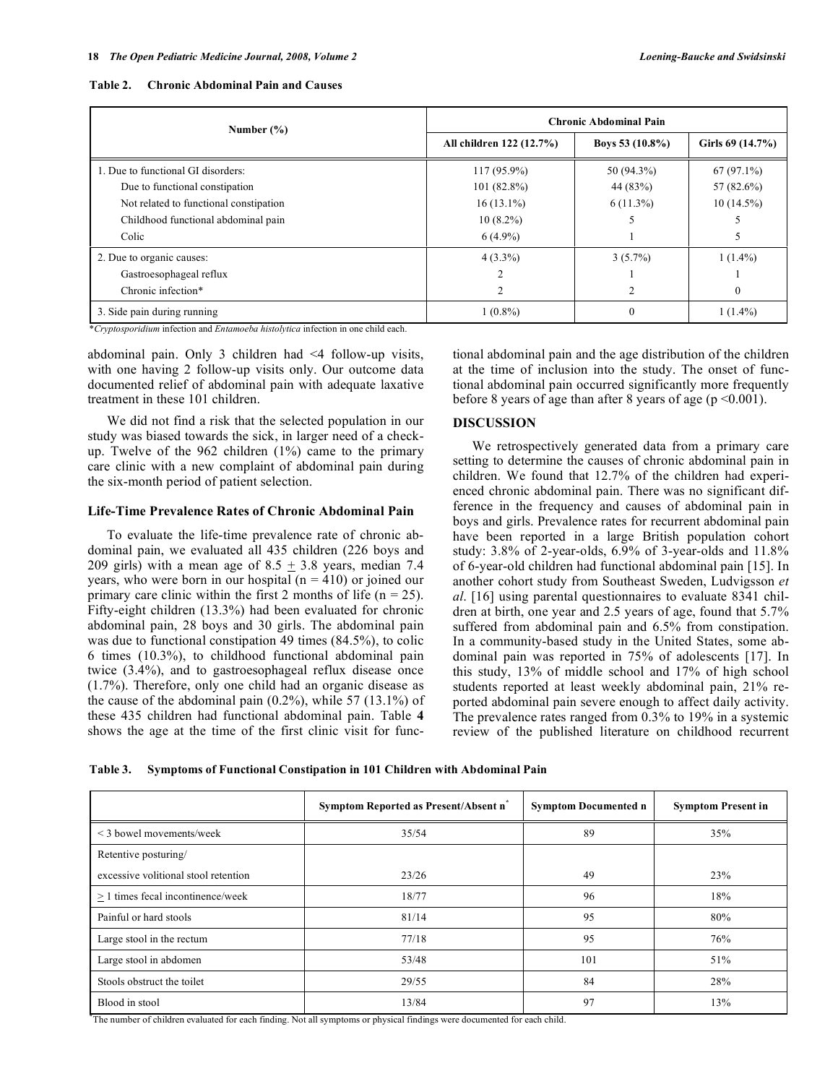| Number $(\% )$                         | <b>Chronic Abdominal Pain</b> |                    |                  |
|----------------------------------------|-------------------------------|--------------------|------------------|
|                                        | All children 122 (12.7%)      | Boys 53 $(10.8\%)$ | Girls 69 (14.7%) |
| 1. Due to functional GI disorders:     | $117(95.9\%)$                 | 50 (94.3%)         | $67(97.1\%)$     |
| Due to functional constipation         | $101(82.8\%)$                 | 44 (83%)           | 57 (82.6%)       |
| Not related to functional constipation | $16(13.1\%)$                  | $6(11.3\%)$        | $10(14.5\%)$     |
| Childhood functional abdominal pain    | $10(8.2\%)$                   |                    |                  |
| Colic                                  | $6(4.9\%)$                    |                    |                  |
| 2. Due to organic causes:              | $4(3.3\%)$                    | $3(5.7\%)$         | $1(1.4\%)$       |
| Gastroesophageal reflux                |                               |                    |                  |
| Chronic infection*                     |                               | 2                  | $\theta$         |
| 3. Side pain during running            | $1(0.8\%)$                    | 0                  | $1(1.4\%)$       |

\**Cryptosporidium* infection and *Entamoeba histolytica* infection in one child each.

abdominal pain. Only 3 children had <4 follow-up visits, with one having 2 follow-up visits only. Our outcome data documented relief of abdominal pain with adequate laxative treatment in these 101 children.

 We did not find a risk that the selected population in our study was biased towards the sick, in larger need of a checkup. Twelve of the  $962$  children  $(1%)$  came to the primary care clinic with a new complaint of abdominal pain during the six-month period of patient selection.

#### **Life-Time Prevalence Rates of Chronic Abdominal Pain**

 To evaluate the life-time prevalence rate of chronic abdominal pain, we evaluated all 435 children (226 boys and 209 girls) with a mean age of  $8.5 \pm 3.8$  years, median 7.4 years, who were born in our hospital ( $n = 410$ ) or joined our primary care clinic within the first 2 months of life  $(n = 25)$ . Fifty-eight children (13.3%) had been evaluated for chronic abdominal pain, 28 boys and 30 girls. The abdominal pain was due to functional constipation 49 times (84.5%), to colic 6 times (10.3%), to childhood functional abdominal pain twice (3.4%), and to gastroesophageal reflux disease once (1.7%). Therefore, only one child had an organic disease as the cause of the abdominal pain  $(0.2\%)$ , while 57  $(13.1\%)$  of these 435 children had functional abdominal pain. Table **4** shows the age at the time of the first clinic visit for functional abdominal pain and the age distribution of the children at the time of inclusion into the study. The onset of functional abdominal pain occurred significantly more frequently before 8 years of age than after 8 years of age ( $p \le 0.001$ ).

#### **DISCUSSION**

 We retrospectively generated data from a primary care setting to determine the causes of chronic abdominal pain in children. We found that 12.7% of the children had experienced chronic abdominal pain. There was no significant difference in the frequency and causes of abdominal pain in boys and girls. Prevalence rates for recurrent abdominal pain have been reported in a large British population cohort study: 3.8% of 2-year-olds, 6.9% of 3-year-olds and 11.8% of 6-year-old children had functional abdominal pain [15]. In another cohort study from Southeast Sweden, Ludvigsson *et al*. [16] using parental questionnaires to evaluate 8341 children at birth, one year and 2.5 years of age, found that 5.7% suffered from abdominal pain and  $6.5\%$  from constipation. In a community-based study in the United States, some abdominal pain was reported in 75% of adolescents [17]. In this study, 13% of middle school and 17% of high school students reported at least weekly abdominal pain, 21% reported abdominal pain severe enough to affect daily activity. The prevalence rates ranged from 0.3% to 19% in a systemic review of the published literature on childhood recurrent

|  | Table 3. Symptoms of Functional Constipation in 101 Children with Abdominal Pain |
|--|----------------------------------------------------------------------------------|
|  |                                                                                  |

|                                      | Symptom Reported as Present/Absent n° | <b>Symptom Documented n</b> | <b>Symptom Present in</b> |
|--------------------------------------|---------------------------------------|-----------------------------|---------------------------|
| < 3 bowel movements/week             | 35/54                                 | 89                          | 35%                       |
| Retentive posturing/                 |                                       |                             |                           |
| excessive volitional stool retention | 23/26                                 | 49                          | 23%                       |
| $> 1$ times fecal incontinence/week  | 18/77                                 | 96                          | 18%                       |
| Painful or hard stools               | 81/14                                 | 95                          | 80%                       |
| Large stool in the rectum            | 77/18                                 | 95                          | 76%                       |
| Large stool in abdomen               | 53/48                                 | 101                         | 51%                       |
| Stools obstruct the toilet           | 29/55                                 | 84                          | 28%                       |
| Blood in stool                       | 13/84                                 | 97                          | 13%                       |

**\*** The number of children evaluated for each finding. Not all symptoms or physical findings were documented for each child.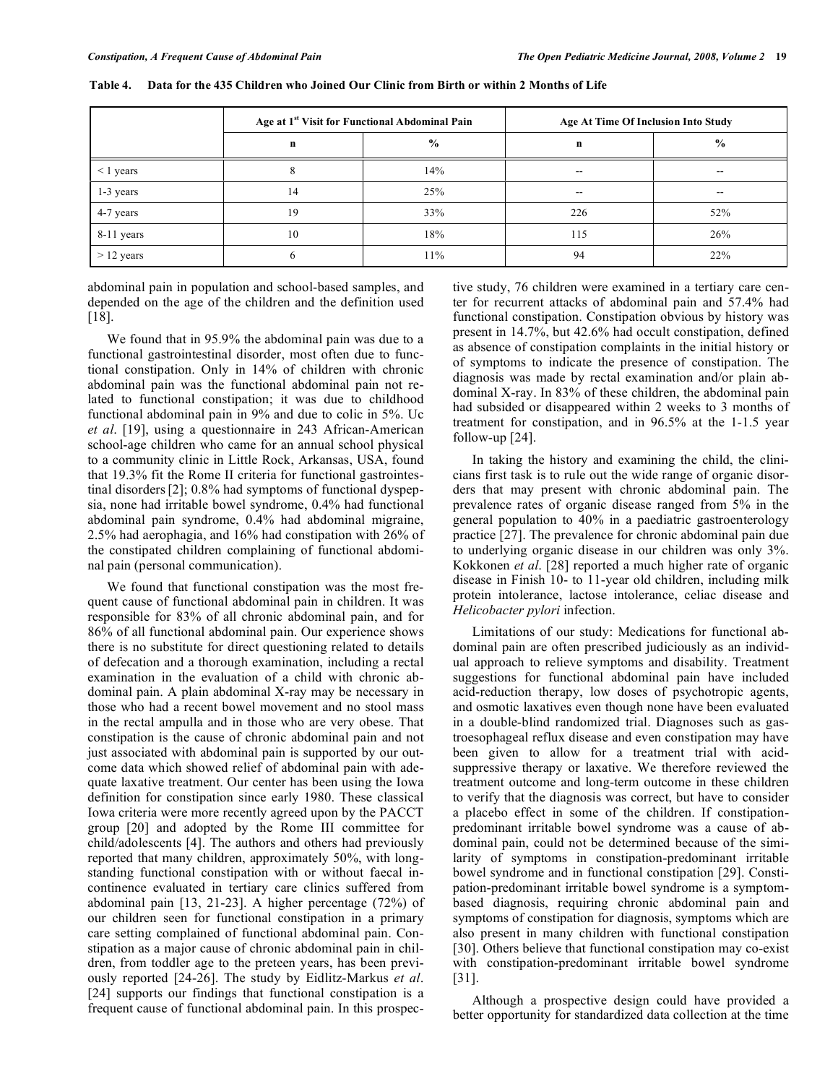|                |    | Age at 1 <sup>st</sup> Visit for Functional Abdominal Pain | <b>Age At Time Of Inclusion Into Study</b> |                          |
|----------------|----|------------------------------------------------------------|--------------------------------------------|--------------------------|
|                | n  | $\frac{6}{9}$                                              | n                                          | $\frac{6}{9}$            |
| $\leq$ 1 years |    | 14%                                                        | $\hspace{0.05cm}$ – $\hspace{0.05cm}$      | $\overline{\phantom{a}}$ |
| 1-3 years      | 14 | 25%                                                        | $- -$                                      | $- -$                    |
| 4-7 years      | 19 | 33%                                                        | 226                                        | 52%                      |
| 8-11 years     | 10 | 18%                                                        | 115                                        | 26%                      |
| $> 12$ years   |    | 11%                                                        | 94                                         | 22%                      |

**Table 4. Data for the 435 Children who Joined Our Clinic from Birth or within 2 Months of Life** 

abdominal pain in population and school-based samples, and depended on the age of the children and the definition used [18].

 We found that in 95.9% the abdominal pain was due to a functional gastrointestinal disorder, most often due to functional constipation. Only in 14% of children with chronic abdominal pain was the functional abdominal pain not related to functional constipation; it was due to childhood functional abdominal pain in 9% and due to colic in 5%. Uc *et al*. [19], using a questionnaire in 243 African-American school-age children who came for an annual school physical to a community clinic in Little Rock, Arkansas, USA, found that 19.3% fit the Rome II criteria for functional gastrointestinal disorders[2]; 0.8% had symptoms of functional dyspepsia, none had irritable bowel syndrome, 0.4% had functional abdominal pain syndrome, 0.4% had abdominal migraine, 2.5% had aerophagia, and 16% had constipation with 26% of the constipated children complaining of functional abdominal pain (personal communication).

 We found that functional constipation was the most frequent cause of functional abdominal pain in children. It was responsible for 83% of all chronic abdominal pain, and for 86% of all functional abdominal pain. Our experience shows there is no substitute for direct questioning related to details of defecation and a thorough examination, including a rectal examination in the evaluation of a child with chronic abdominal pain. A plain abdominal X-ray may be necessary in those who had a recent bowel movement and no stool mass in the rectal ampulla and in those who are very obese. That constipation is the cause of chronic abdominal pain and not just associated with abdominal pain is supported by our outcome data which showed relief of abdominal pain with adequate laxative treatment. Our center has been using the Iowa definition for constipation since early 1980. These classical Iowa criteria were more recently agreed upon by the PACCT group [20] and adopted by the Rome III committee for child/adolescents [4]. The authors and others had previously reported that many children, approximately 50%, with longstanding functional constipation with or without faecal incontinence evaluated in tertiary care clinics suffered from abdominal pain [13, 21-23]. A higher percentage (72%) of our children seen for functional constipation in a primary care setting complained of functional abdominal pain. Constipation as a major cause of chronic abdominal pain in children, from toddler age to the preteen years, has been previously reported [24-26]. The study by Eidlitz-Markus *et al*. [24] supports our findings that functional constipation is a frequent cause of functional abdominal pain. In this prospective study, 76 children were examined in a tertiary care center for recurrent attacks of abdominal pain and 57.4% had functional constipation. Constipation obvious by history was present in 14.7%, but 42.6% had occult constipation, defined as absence of constipation complaints in the initial history or of symptoms to indicate the presence of constipation. The diagnosis was made by rectal examination and/or plain abdominal X-ray. In 83% of these children, the abdominal pain had subsided or disappeared within 2 weeks to 3 months of treatment for constipation, and in 96.5% at the 1-1.5 year follow-up [24].

 In taking the history and examining the child, the clinicians first task is to rule out the wide range of organic disorders that may present with chronic abdominal pain. The prevalence rates of organic disease ranged from 5% in the general population to 40% in a paediatric gastroenterology practice [27]. The prevalence for chronic abdominal pain due to underlying organic disease in our children was only 3%. Kokkonen *et al*. [28] reported a much higher rate of organic disease in Finish 10- to 11-year old children, including milk protein intolerance, lactose intolerance, celiac disease and *Helicobacter pylori* infection.

 Limitations of our study: Medications for functional abdominal pain are often prescribed judiciously as an individual approach to relieve symptoms and disability. Treatment suggestions for functional abdominal pain have included acid-reduction therapy, low doses of psychotropic agents, and osmotic laxatives even though none have been evaluated in a double-blind randomized trial. Diagnoses such as gastroesophageal reflux disease and even constipation may have been given to allow for a treatment trial with acidsuppressive therapy or laxative. We therefore reviewed the treatment outcome and long-term outcome in these children to verify that the diagnosis was correct, but have to consider a placebo effect in some of the children. If constipationpredominant irritable bowel syndrome was a cause of abdominal pain, could not be determined because of the similarity of symptoms in constipation-predominant irritable bowel syndrome and in functional constipation [29]. Constipation-predominant irritable bowel syndrome is a symptombased diagnosis, requiring chronic abdominal pain and symptoms of constipation for diagnosis, symptoms which are also present in many children with functional constipation [30]. Others believe that functional constipation may co-exist with constipation-predominant irritable bowel syndrome [31].

Although a prospective design could have provided a better opportunity for standardized data collection at the time